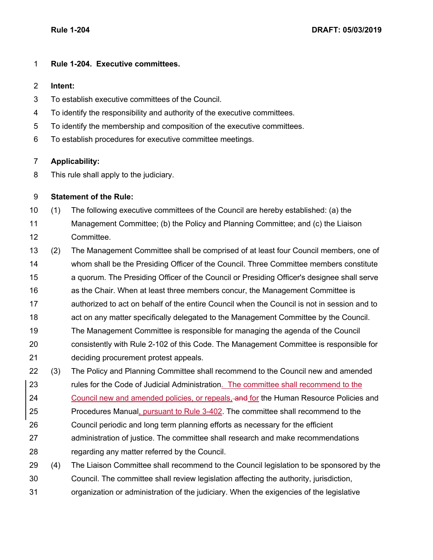## **Rule 1-204. Executive committees.**

## **Intent:**

- To establish executive committees of the Council.
- To identify the responsibility and authority of the executive committees.
- To identify the membership and composition of the executive committees.
- To establish procedures for executive committee meetings.

## **Applicability:**

This rule shall apply to the judiciary.

## **Statement of the Rule:**

- (1) The following executive committees of the Council are hereby established: (a) the
- Management Committee; (b) the Policy and Planning Committee; and (c) the Liaison Committee.
- (2) The Management Committee shall be comprised of at least four Council members, one of whom shall be the Presiding Officer of the Council. Three Committee members constitute a quorum. The Presiding Officer of the Council or Presiding Officer's designee shall serve as the Chair. When at least three members concur, the Management Committee is authorized to act on behalf of the entire Council when the Council is not in session and to act on any matter specifically delegated to the Management Committee by the Council. The Management Committee is responsible for managing the agenda of the Council consistently with Rule 2-102 of this Code. The Management Committee is responsible for
- deciding procurement protest appeals.
- (3) The Policy and Planning Committee shall recommend to the Council new and amended rules for the Code of Judicial Administration. The committee shall recommend to the 24 Council new and amended policies, or repeals, and for the Human Resource Policies and 25 Procedures Manual, pursuant to Rule 3-402. The committee shall recommend to the
- Council periodic and long term planning efforts as necessary for the efficient
- administration of justice. The committee shall research and make recommendations regarding any matter referred by the Council.
- (4) The Liaison Committee shall recommend to the Council legislation to be sponsored by the
- Council. The committee shall review legislation affecting the authority, jurisdiction,
- organization or administration of the judiciary. When the exigencies of the legislative